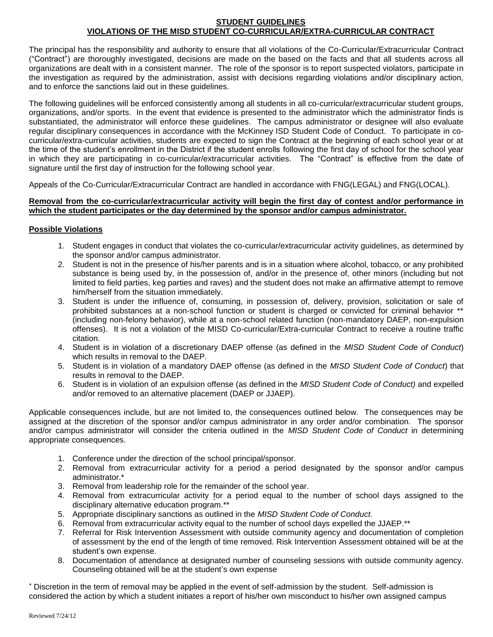## **STUDENT GUIDELINES VIOLATIONS OF THE MISD STUDENT CO-CURRICULAR/EXTRA-CURRICULAR CONTRACT**

The principal has the responsibility and authority to ensure that all violations of the Co-Curricular/Extracurricular Contract ("Contract") are thoroughly investigated, decisions are made on the based on the facts and that all students across all organizations are dealt with in a consistent manner. The role of the sponsor is to report suspected violators, participate in the investigation as required by the administration, assist with decisions regarding violations and/or disciplinary action, and to enforce the sanctions laid out in these guidelines.

The following guidelines will be enforced consistently among all students in all co-curricular/extracurricular student groups, organizations, and/or sports. In the event that evidence is presented to the administrator which the administrator finds is substantiated, the administrator will enforce these guidelines. The campus administrator or designee will also evaluate regular disciplinary consequences in accordance with the McKinney ISD Student Code of Conduct. To participate in cocurricular/extra-curricular activities, students are expected to sign the Contract at the beginning of each school year or at the time of the student's enrollment in the District if the student enrolls following the first day of school for the school year in which they are participating in co-curricular/extracurricular activities. The "Contract" is effective from the date of signature until the first day of instruction for the following school year.

Appeals of the Co-Curricular/Extracurricular Contract are handled in accordance with FNG(LEGAL) and FNG(LOCAL).

## **Removal from the co-curricular/extracurricular activity will begin the first day of contest and/or performance in which the student participates or the day determined by the sponsor and/or campus administrator.**

## **Possible Violations**

- 1. Student engages in conduct that violates the co-curricular/extracurricular activity guidelines, as determined by the sponsor and/or campus administrator.
- 2. Student is not in the presence of his/her parents and is in a situation where alcohol, tobacco, or any prohibited substance is being used by, in the possession of, and/or in the presence of, other minors (including but not limited to field parties, keg parties and raves) and the student does not make an affirmative attempt to remove him/herself from the situation immediately.
- 3. Student is under the influence of, consuming, in possession of, delivery, provision, solicitation or sale of prohibited substances at a non-school function or student is charged or convicted for criminal behavior \*\* (including non-felony behavior), while at a non-school related function (non-mandatory DAEP, non-expulsion offenses). It is not a violation of the MISD Co-curricular/Extra-curricular Contract to receive a routine traffic citation.
- 4. Student is in violation of a discretionary DAEP offense (as defined in the *MISD Student Code of Conduct*) which results in removal to the DAEP.
- 5. Student is in violation of a mandatory DAEP offense (as defined in the *MISD Student Code of Conduct*) that results in removal to the DAEP.
- 6. Student is in violation of an expulsion offense (as defined in the *MISD Student Code of Conduct)* and expelled and/or removed to an alternative placement (DAEP or JJAEP).

Applicable consequences include, but are not limited to, the consequences outlined below. The consequences may be assigned at the discretion of the sponsor and/or campus administrator in any order and/or combination. The sponsor and/or campus administrator will consider the criteria outlined in the *MISD Student Code of Conduct* in determining appropriate consequences.

- 1. Conference under the direction of the school principal/sponsor.
- 2. Removal from extracurricular activity for a period a period designated by the sponsor and/or campus administrator.\*
- 3. Removal from leadership role for the remainder of the school year.
- 4. Removal from extracurricular activity for a period equal to the number of school days assigned to the disciplinary alternative education program.\*\*
- 5. Appropriate disciplinary sanctions as outlined in the *MISD Student Code of Conduct.*
- 6. Removal from extracurricular activity equal to the number of school days expelled the JJAEP.\*\*
- 7. Referral for Risk Intervention Assessment with outside community agency and documentation of completion of assessment by the end of the length of time removed. Risk Intervention Assessment obtained will be at the student's own expense.
- 8. Documentation of attendance at designated number of counseling sessions with outside community agency. Counseling obtained will be at the student's own expense

Discretion in the term of removal may be applied in the event of self-admission by the student. Self-admission is considered the action by which a student initiates a report of his/her own misconduct to his/her own assigned campus